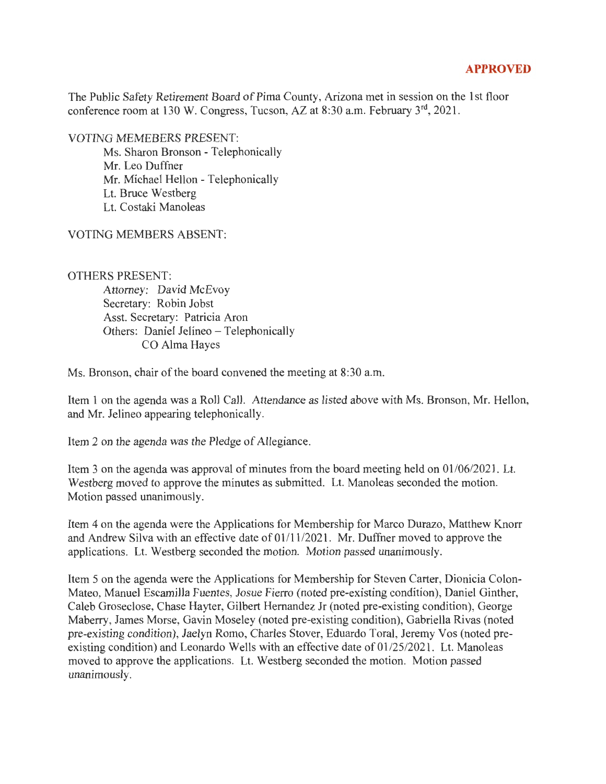## **APPROVED**

The Public Safety Retirement Board of Pima County, Arizona met in session on the 1st floor conference room at 130 W. Congress, Tucson, AZ at 8:30 a.m. February 3<sup>rd</sup>, 2021.

VOTING MEMEBERS PRESENT:

Ms. Sharon Bronson - Telephonically Mr. Leo Duffner Mr. Michael Hellon - Telephonically Lt. Bruce Westberg Lt. Costaki Manoleas

VOTING MEMBERS ABSENT:

OTHERS PRESENT:

Attorney: David McEvoy Secretary: Robin Jobst Asst. Secretary: Patricia Aron Others: Daniel Jelineo - Telephonically CO Alma Hayes

Ms. Bronson, chair of the board convened the meeting at 8:30 a.m.

Item 1 on the agenda was a Roll Call. Attendance as listed above with Ms. Bronson, Mr. Hellon, and Mr. Jelineo appearing telephonically.

Item 2 on the agenda was the Pledge of Allegiance.

Item 3 on the agenda was approval of minutes from the board meeting held on 01 /06/2021. Lt. Westberg moved to approve the minutes as submitted. Lt. Manoleas seconded the motion. Motion passed unanimously.

Item 4 on the agenda were the Applications for Membership for Marco Durazo, Matthew Knorr and Andrew Silva with an effective date of 01/11/2021. Mr. Duffner moved to approve the applications. Lt. Westberg seconded the motion. Motion passed unanimously.

Item 5 on the agenda were the Applications for Membership for Steven Carter, Dionicia Colon-Mateo, Manuel Escamilla Fuentes, Josue Fierro (noted pre-existing condition), Daniel Ginther, Caleb Groseclose, Chase Hayter, Gilbert Hernandez Jr (noted pre-existing condition), George Maberry, James Morse, Gavin Moseley (noted pre-existing condition), Gabriella Rivas (noted pre-existing condition), Jaelyn Romo, Charles Stover, Eduardo Toral, Jeremy Vos (noted preexisting condition) and Leonardo Wells with an effective date of 01/25/2021. Lt. Manoleas moved to approve the applications. Lt. Westberg seconded the motion. Motion passed unanimously.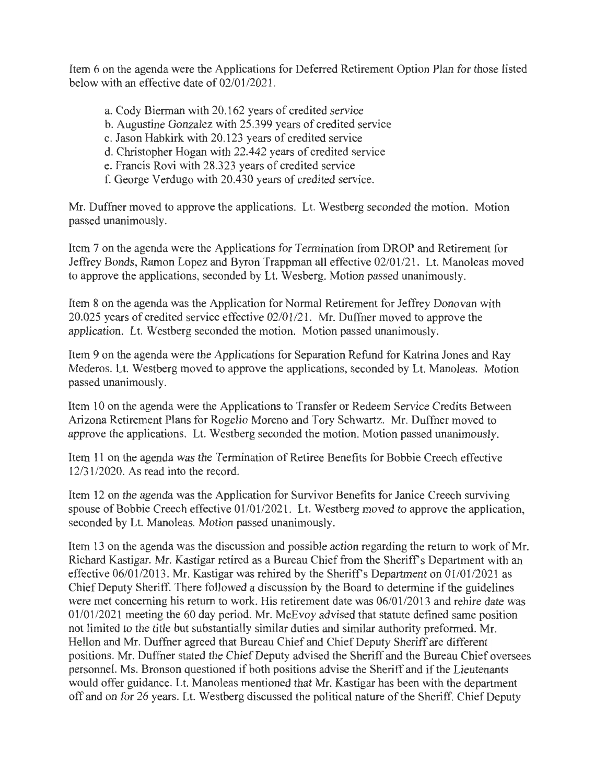Item 6 on the agenda were the Applications for Deferred Retirement Option Plan for those listed below with an effective date of 02/01/2021.

- a. Cody Bierman with 20.162 years of credited service
- b. Augustine Gonzalez with 25.399 years of credited service
- c. Jason Habkirk with 20.123 years of credited service
- d. Christopher Hogan with 22.442 years of credited service
- e. Francis Rovi with 28.323 years of credited service
- f. George Verdugo with 20.430 years of credited service.

Mr. Duffner moved to approve the applications. Lt. Westberg seconded the motion. Motion passed unanimously.

Item 7 on the agenda were the Applications for Termination from DROP and Retirement for Jeffrey Bonds, Ramon Lopez and Byron Trappman all effective 02/01/21. Lt. Manoleas moved to approve the applications, seconded by Lt. Wesberg. Motion passed unanimously.

Item 8 on the agenda was the Application for Normal Retirement for Jeffrey Donovan with 20.025 years of credited service effective 02/01/21. Mr. Duffner moved to approve the application. Lt. Westberg seconded the motion. Motion passed unanimously.

Item 9 on the agenda were the Applications for Separation Refund for Katrina Jones and Ray Mederos. Lt. Westberg moved to approve the applications, seconded by Lt. Manoleas. Motion passed unanimously.

Item 10 on the agenda were the Applications to Transfer or Redeem Service Credits Between Arizona Retirement Plans for Rogelio Moreno and Tory Schwartz. Mr. Duffner moved to approve the applications. Lt. Westberg seconded the motion. Motion passed unanimously.

Item 11 on the agenda was the Termination of Retiree Benefits for Bobbie Creech effective 12/31/2020. As read into the record.

Item 12 on the agenda was the Application for Survivor Benefits for Janice Creech surviving spouse of Bobbie Creech effective 01/01/2021. Lt. Westberg moved to approve the application, seconded by Lt. Manoleas. Motion passed unanimously.

Item 13 on the agenda was the discussion and possible action regarding the return to work of Mr. Richard Kastigar. Mr. Kastigar retired as a Bureau Chief from the Sheriff's Department with an effective 06/01/2013. Mr. Kastigar was rehired by the Sheriff's Department on 01/01/2021 as Chief Deputy Sheriff. There followed a discussion by the Board to determine if the guidelines were met concerning his return to work. His retirement date was 06/01/2013 and rehire date was 01/01/2021 meeting the 60 day period. Mr. McEvoy advised that statute defined same position not limited to the title but substantially similar duties and similar authority preformed. Mr. Hellon and Mr. Duffner agreed that Bureau Chief and Chief Deputy Sheriff are different positions. Mr. Duffner stated the Chief Deputy advised the Sheriff and the Bureau Chief oversees personnel. Ms. Bronson questioned if both positions advise the Sheriff and if the Lieutenants would offer guidance. Lt. Manoleas mentioned that Mr. Kastigar has been with the department off and on for 26 years. Lt. Westberg discussed the political nature of the Sheriff. Chief Deputy